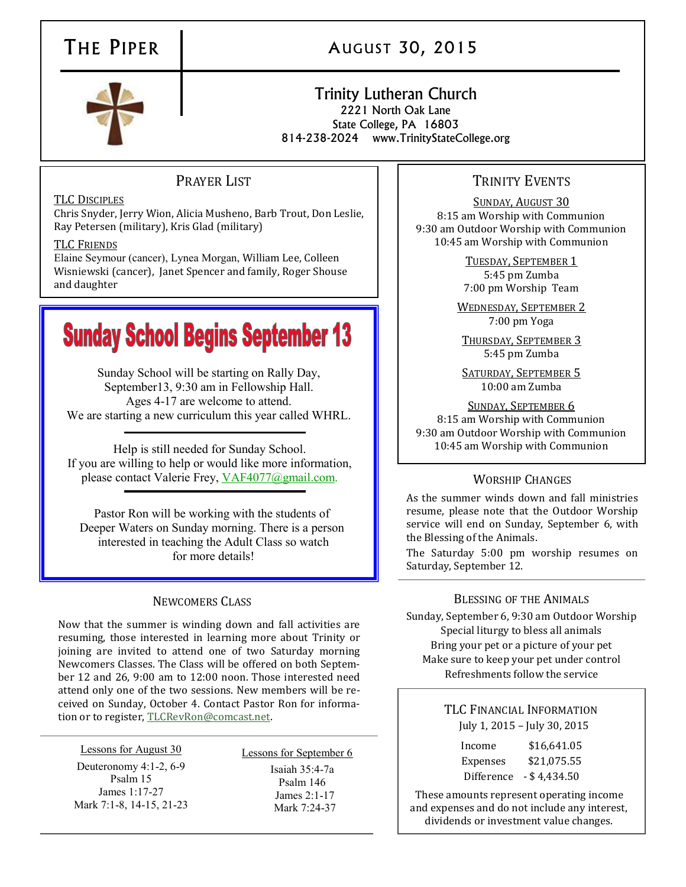# THE PIPER | AUGUST 30, 2015

#### Trinity Lutheran Church 2221 North Oak Lane State College, PA 16803 814-238-2024 www.TrinityStateCollege.org

# PRAYER LIST

#### TLC DISCIPLES

Chris Snyder, Jerry Wion, Alicia Musheno, Barb Trout, Don Leslie, Ray Petersen (military), Kris Glad (military)

#### TLC FRIENDS

Elaine Seymour (cancer), Lynea Morgan, William Lee, Colleen Wisniewski (cancer), Janet Spencer and family, Roger Shouse and daughter

# **Sunday School Begins September 13**

Sunday School will be starting on Rally Day, September13, 9:30 am in Fellowship Hall. Ages 4-17 are welcome to attend. We are starting a new curriculum this year called WHRL.

Help is still needed for Sunday School. If you are willing to help or would like more information, please contact Valerie Frey, [VAF4077@gmail.com.](mailto:VAF4077@gmail.com)

Pastor Ron will be working with the students of Deeper Waters on Sunday morning. There is a person interested in teaching the Adult Class so watch for more details!

## NEWCOMERS CLASS

Now that the summer is winding down and fall activities are resuming, those interested in learning more about Trinity or joining are invited to attend one of two Saturday morning Newcomers Classes. The Class will be offered on both September 12 and 26, 9:00 am to 12:00 noon. Those interested need attend only one of the two sessions. New members will be received on Sunday, October 4. Contact Pastor Ron for information or to register, [TLCRevRon@comcast.net.](mailto:TLCRevRon@comcast.net)

Lessons for August 30 Deuteronomy 4:1-2, 6-9 Psalm 15 James 1:17-27 Mark 7:1-8, 14-15, 21-23

Lessons for September 6 Isaiah 35:4-7a Psalm 146 James 2:1-17 Mark 7:24-37

## TRINITY EVENTS

SUNDAY, AUGUST 30 8:15 am Worship with Communion 9:30 am Outdoor Worship with Communion 10:45 am Worship with Communion

> TUESDAY, SEPTEMBER 1 5:45 pm Zumba 7:00 pm Worship Team

WEDNESDAY, SEPTEMBER 2 7:00 pm Yoga

THURSDAY, SEPTEMBER 3 5:45 pm Zumba

SATURDAY, SEPTEMBER 5 10:00 am Zumba

SUNDAY, SEPTEMBER 6 8:15 am Worship with Communion 9:30 am Outdoor Worship with Communion 10:45 am Worship with Communion

#### WORSHIP CHANGES

As the summer winds down and fall ministries resume, please note that the Outdoor Worship service will end on Sunday, September 6, with the Blessing of the Animals.

The Saturday 5:00 pm worship resumes on Saturday, September 12.

#### BLESSING OF THE ANIMALS

Sunday, September 6, 9:30 am Outdoor Worship Special liturgy to bless all animals Bring your pet or a picture of your pet Make sure to keep your pet under control Refreshments follow the service

> TLC FINANCIAL INFORMATION July 1, 2015 – July 30, 2015

| Income     | \$16,641.05    |
|------------|----------------|
| Expenses   | \$21,075.55    |
| Difference | $-$ \$4,434.50 |

These amounts represent operating income and expenses and do not include any interest, dividends or investment value changes.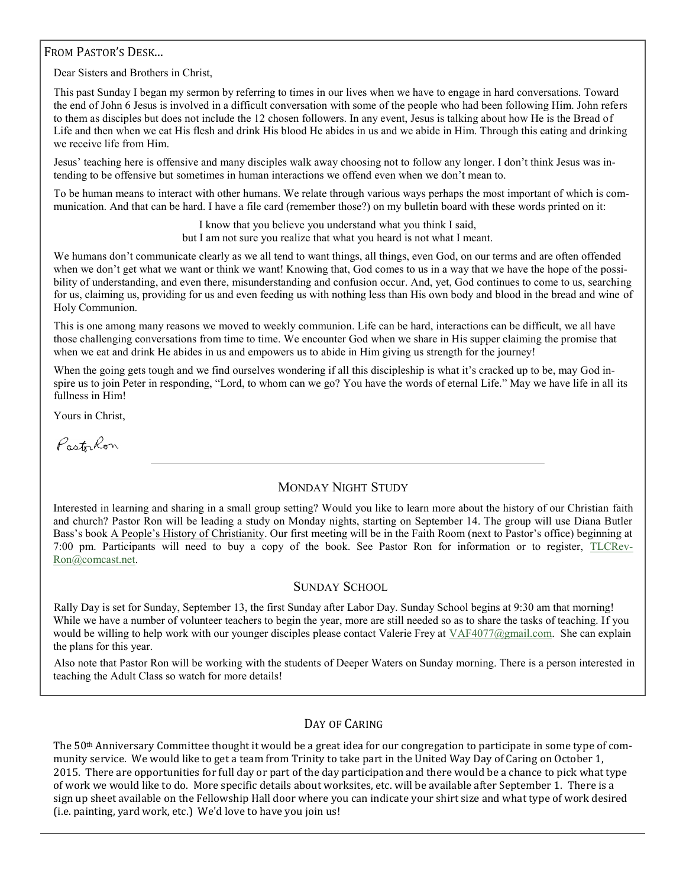#### FROM PASTOR'S DESK...

Dear Sisters and Brothers in Christ,

This past Sunday I began my sermon by referring to times in our lives when we have to engage in hard conversations. Toward the end of John 6 Jesus is involved in a difficult conversation with some of the people who had been following Him. John refers to them as disciples but does not include the 12 chosen followers. In any event, Jesus is talking about how He is the Bread of Life and then when we eat His flesh and drink His blood He abides in us and we abide in Him. Through this eating and drinking we receive life from Him.

Jesus' teaching here is offensive and many disciples walk away choosing not to follow any longer. I don't think Jesus was intending to be offensive but sometimes in human interactions we offend even when we don't mean to.

To be human means to interact with other humans. We relate through various ways perhaps the most important of which is communication. And that can be hard. I have a file card (remember those?) on my bulletin board with these words printed on it:

> I know that you believe you understand what you think I said, but I am not sure you realize that what you heard is not what I meant.

We humans don't communicate clearly as we all tend to want things, all things, even God, on our terms and are often offended when we don't get what we want or think we want! Knowing that, God comes to us in a way that we have the hope of the possibility of understanding, and even there, misunderstanding and confusion occur. And, yet, God continues to come to us, searching for us, claiming us, providing for us and even feeding us with nothing less than His own body and blood in the bread and wine of Holy Communion.

This is one among many reasons we moved to weekly communion. Life can be hard, interactions can be difficult, we all have those challenging conversations from time to time. We encounter God when we share in His supper claiming the promise that when we eat and drink He abides in us and empowers us to abide in Him giving us strength for the journey!

When the going gets tough and we find ourselves wondering if all this discipleship is what it's cracked up to be, may God inspire us to join Peter in responding, "Lord, to whom can we go? You have the words of eternal Life." May we have life in all its fullness in Him!

Yours in Christ,

Pastrkon

#### MONDAY NIGHT STUDY

Interested in learning and sharing in a small group setting? Would you like to learn more about the history of our Christian faith and church? Pastor Ron will be leading a study on Monday nights, starting on September 14. The group will use Diana Butler Bass's book A People's History of Christianity. Our first meeting will be in the Faith Room (next to Pastor's office) beginning at 7:00 pm. Participants will need to buy a copy of the book. See Pastor Ron for information or to register, [TLCRev-](mailto:TLCRevRon@comcast.net)[Ron@comcast.net.](mailto:TLCRevRon@comcast.net)

#### SUNDAY SCHOOL

Rally Day is set for Sunday, September 13, the first Sunday after Labor Day. Sunday School begins at 9:30 am that morning! While we have a number of volunteer teachers to begin the year, more are still needed so as to share the tasks of teaching. If you would be willing to help work with our younger disciples please contact Valerie Frey at  $VAF4077$ @gmail.com. She can explain the plans for this year.

Also note that Pastor Ron will be working with the students of Deeper Waters on Sunday morning. There is a person interested in teaching the Adult Class so watch for more details!

#### DAY OF CARING

The 50th Anniversary Committee thought it would be a great idea for our congregation to participate in some type of community service. We would like to get a team from Trinity to take part in the United Way Day of Caring on October 1, 2015. There are opportunities for full day or part of the day participation and there would be a chance to pick what type of work we would like to do. More specific details about worksites, etc. will be available after September 1. There is a sign up sheet available on the Fellowship Hall door where you can indicate your shirt size and what type of work desired (i.e. painting, yard work, etc.) We'd love to have you join us!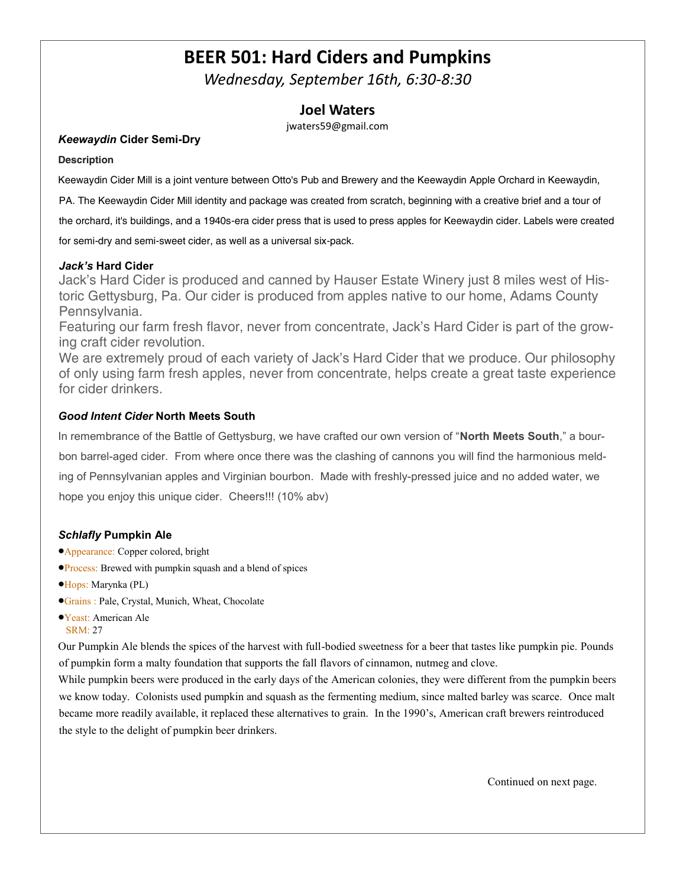# **BEER 501: Hard Ciders and Pumpkins**

*Wednesday, September 16th, 6:30-8:30*

### **Joel Waters**

jwaters59@gmail.com

#### *Keewaydin* **Cider Semi-Dry**

#### **Description**

Keewaydin Cider Mill is a joint venture between Otto's Pub and Brewery and the Keewaydin Apple Orchard in Keewaydin,

PA. The Keewaydin Cider Mill identity and package was created from scratch, beginning with a creative brief and a tour of

the orchard, it's buildings, and a 1940s-era cider press that is used to press apples for Keewaydin cider. Labels were created

for semi-dry and semi-sweet cider, as well as a universal six-pack.

#### *Jack's* **Hard Cider**

Jack's Hard Cider is produced and canned by Hauser Estate Winery just 8 miles west of Historic Gettysburg, Pa. Our cider is produced from apples native to our home, Adams County Pennsylvania.

Featuring our farm fresh flavor, never from concentrate, Jack's Hard Cider is part of the growing craft cider revolution.

We are extremely proud of each variety of Jack's Hard Cider that we produce. Our philosophy of only using farm fresh apples, never from concentrate, helps create a great taste experience for cider drinkers.

#### *Good Intent Cider* **North Meets South**

In remembrance of the Battle of Gettysburg, we have crafted our own version of "**North Meets South**," a bourbon barrel-aged cider. From where once there was the clashing of cannons you will find the harmonious melding of Pennsylvanian apples and Virginian bourbon. Made with freshly-pressed juice and no added water, we hope you enjoy this unique cider. Cheers!!! (10% abv)

#### *Schlafly* **Pumpkin Ale**

- Appearance: Copper colored, bright
- **Process:** Brewed with pumpkin squash and a blend of spices
- Hops: Marynka (PL)
- Grains : Pale, Crystal, Munich, Wheat, Chocolate
- Yeast: American Ale SRM: 27

Our Pumpkin Ale blends the spices of the harvest with full-bodied sweetness for a beer that tastes like pumpkin pie. Pounds of pumpkin form a malty foundation that supports the fall flavors of cinnamon, nutmeg and clove.

While pumpkin beers were produced in the early days of the American colonies, they were different from the pumpkin beers we know today. Colonists used pumpkin and squash as the fermenting medium, since malted barley was scarce. Once malt became more readily available, it replaced these alternatives to grain. In the 1990's, American craft brewers reintroduced the style to the delight of pumpkin beer drinkers.

Continued on next page.